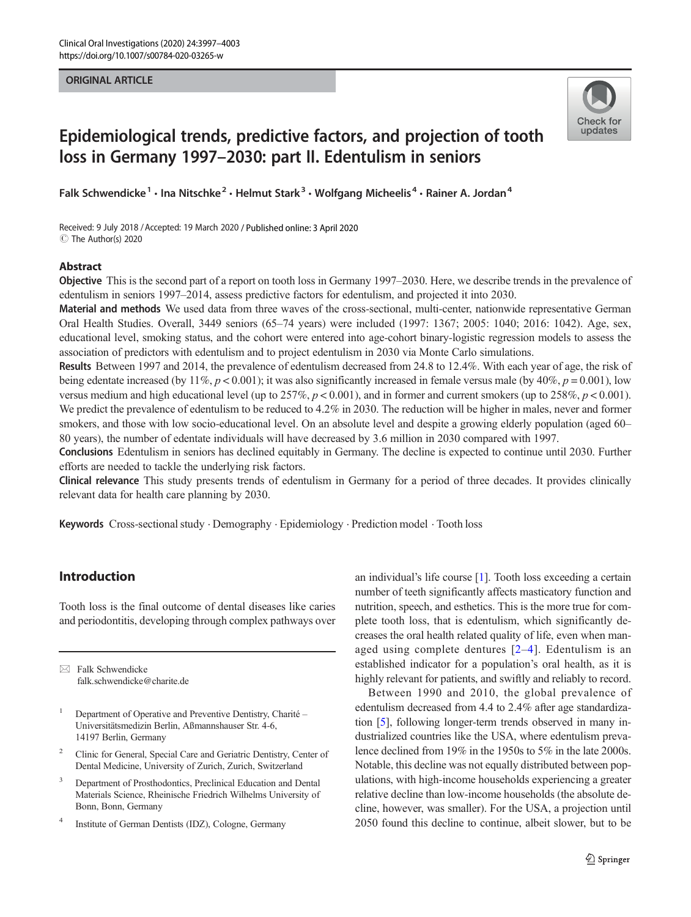#### ORIGINAL ARTICLE



# Epidemiological trends, predictive factors, and projection of tooth loss in Germany 1997–2030: part II. Edentulism in seniors

Falk Schwendicke<sup>1</sup> · Ina Nitschke<sup>2</sup> · Helmut Stark<sup>3</sup> · Wolfgang Micheelis<sup>4</sup> · Rainer A. Jordan<sup>4</sup>

Received: 9 July 2018 /Accepted: 19 March 2020 / Published online: 3 April 2020 C The Author(s) 2020

#### Abstract

Objective This is the second part of a report on tooth loss in Germany 1997–2030. Here, we describe trends in the prevalence of edentulism in seniors 1997–2014, assess predictive factors for edentulism, and projected it into 2030.

Material and methods We used data from three waves of the cross-sectional, multi-center, nationwide representative German Oral Health Studies. Overall, 3449 seniors (65–74 years) were included (1997: 1367; 2005: 1040; 2016: 1042). Age, sex, educational level, smoking status, and the cohort were entered into age-cohort binary-logistic regression models to assess the association of predictors with edentulism and to project edentulism in 2030 via Monte Carlo simulations.

Results Between 1997 and 2014, the prevalence of edentulism decreased from 24.8 to 12.4%. With each year of age, the risk of being edentate increased (by 11%,  $p < 0.001$ ); it was also significantly increased in female versus male (by 40%,  $p = 0.001$ ), low versus medium and high educational level (up to  $257\%, p < 0.001$ ), and in former and current smokers (up to  $258\%, p < 0.001$ ). We predict the prevalence of edentulism to be reduced to 4.2% in 2030. The reduction will be higher in males, never and former smokers, and those with low socio-educational level. On an absolute level and despite a growing elderly population (aged 60– 80 years), the number of edentate individuals will have decreased by 3.6 million in 2030 compared with 1997.

Conclusions Edentulism in seniors has declined equitably in Germany. The decline is expected to continue until 2030. Further efforts are needed to tackle the underlying risk factors.

Clinical relevance This study presents trends of edentulism in Germany for a period of three decades. It provides clinically relevant data for health care planning by 2030.

Keywords Cross-sectional study . Demography . Epidemiology . Prediction model . Tooth loss

# Introduction

Tooth loss is the final outcome of dental diseases like caries and periodontitis, developing through complex pathways over

 $\boxtimes$  Falk Schwendicke [falk.schwendicke@charite.de](mailto:falk.schwendicke@charite.de)

- <sup>1</sup> Department of Operative and Preventive Dentistry, Charité Universitätsmedizin Berlin, Aßmannshauser Str. 4-6, 14197 Berlin, Germany
- <sup>2</sup> Clinic for General, Special Care and Geriatric Dentistry, Center of Dental Medicine, University of Zurich, Zurich, Switzerland
- <sup>3</sup> Department of Prosthodontics, Preclinical Education and Dental Materials Science, Rheinische Friedrich Wilhelms University of Bonn, Bonn, Germany
- Institute of German Dentists (IDZ), Cologne, Germany

an individual's life course [[1\]](#page-5-0). Tooth loss exceeding a certain number of teeth significantly affects masticatory function and nutrition, speech, and esthetics. This is the more true for complete tooth loss, that is edentulism, which significantly decreases the oral health related quality of life, even when managed using complete dentures [\[2](#page-5-0)–[4](#page-5-0)]. Edentulism is an established indicator for a population's oral health, as it is highly relevant for patients, and swiftly and reliably to record.

Between 1990 and 2010, the global prevalence of edentulism decreased from 4.4 to 2.4% after age standardization [[5\]](#page-5-0), following longer-term trends observed in many industrialized countries like the USA, where edentulism prevalence declined from 19% in the 1950s to 5% in the late 2000s. Notable, this decline was not equally distributed between populations, with high-income households experiencing a greater relative decline than low-income households (the absolute decline, however, was smaller). For the USA, a projection until 2050 found this decline to continue, albeit slower, but to be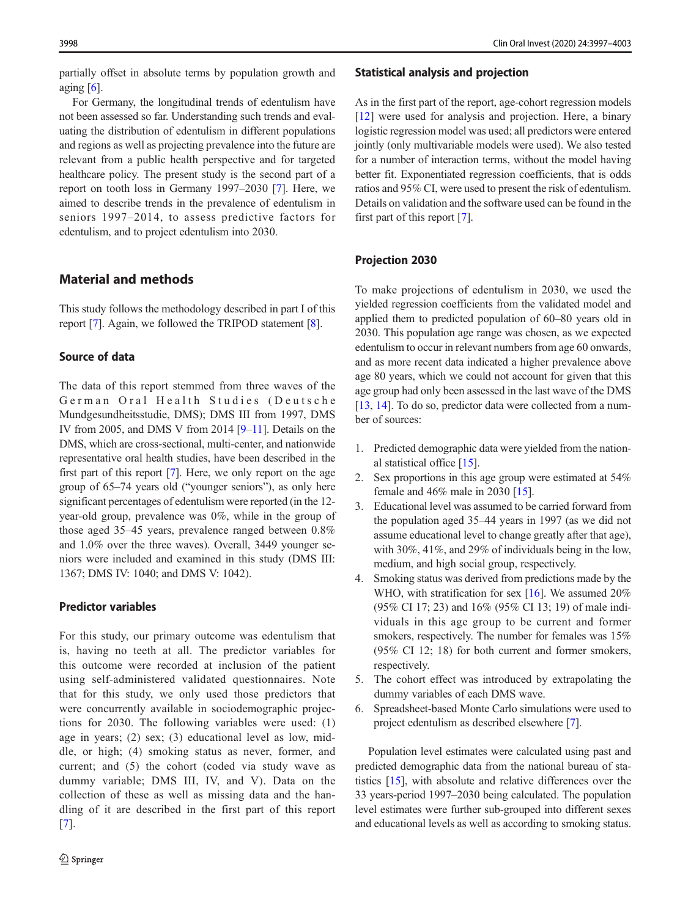partially offset in absolute terms by population growth and aging [\[6](#page-5-0)].

For Germany, the longitudinal trends of edentulism have not been assessed so far. Understanding such trends and evaluating the distribution of edentulism in different populations and regions as well as projecting prevalence into the future are relevant from a public health perspective and for targeted healthcare policy. The present study is the second part of a report on tooth loss in Germany 1997–2030 [\[7\]](#page-5-0). Here, we aimed to describe trends in the prevalence of edentulism in seniors 1997–2014, to assess predictive factors for edentulism, and to project edentulism into 2030.

# Material and methods

This study follows the methodology described in part I of this report [[7\]](#page-5-0). Again, we followed the TRIPOD statement [[8\]](#page-5-0).

## Source of data

The data of this report stemmed from three waves of the German Oral Health Studies (Deutsche Mundgesundheitsstudie, DMS); DMS III from 1997, DMS IV from 2005, and DMS V from 2014 [\[9](#page-5-0)–[11\]](#page-5-0). Details on the DMS, which are cross-sectional, multi-center, and nationwide representative oral health studies, have been described in the first part of this report [\[7](#page-5-0)]. Here, we only report on the age group of 65–74 years old ("younger seniors"), as only here significant percentages of edentulism were reported (in the 12 year-old group, prevalence was 0%, while in the group of those aged 35–45 years, prevalence ranged between 0.8% and 1.0% over the three waves). Overall, 3449 younger seniors were included and examined in this study (DMS III: 1367; DMS IV: 1040; and DMS V: 1042).

## Predictor variables

For this study, our primary outcome was edentulism that is, having no teeth at all. The predictor variables for this outcome were recorded at inclusion of the patient using self-administered validated questionnaires. Note that for this study, we only used those predictors that were concurrently available in sociodemographic projections for 2030. The following variables were used: (1) age in years; (2) sex; (3) educational level as low, middle, or high; (4) smoking status as never, former, and current; and (5) the cohort (coded via study wave as dummy variable; DMS III, IV, and V). Data on the collection of these as well as missing data and the handling of it are described in the first part of this report [\[7](#page-5-0)].

## Statistical analysis and projection

As in the first part of the report, age-cohort regression models [\[12](#page-5-0)] were used for analysis and projection. Here, a binary logistic regression model was used; all predictors were entered jointly (only multivariable models were used). We also tested for a number of interaction terms, without the model having better fit. Exponentiated regression coefficients, that is odds ratios and 95% CI, were used to present the risk of edentulism. Details on validation and the software used can be found in the first part of this report [[7](#page-5-0)].

# Projection 2030

To make projections of edentulism in 2030, we used the yielded regression coefficients from the validated model and applied them to predicted population of 60–80 years old in 2030. This population age range was chosen, as we expected edentulism to occur in relevant numbers from age 60 onwards, and as more recent data indicated a higher prevalence above age 80 years, which we could not account for given that this age group had only been assessed in the last wave of the DMS [\[13](#page-5-0), [14\]](#page-5-0). To do so, predictor data were collected from a number of sources:

- 1. Predicted demographic data were yielded from the national statistical office [\[15](#page-5-0)].
- 2. Sex proportions in this age group were estimated at 54% female and 46% male in 2030 [\[15](#page-5-0)].
- 3. Educational level was assumed to be carried forward from the population aged 35–44 years in 1997 (as we did not assume educational level to change greatly after that age), with 30%, 41%, and 29% of individuals being in the low, medium, and high social group, respectively.
- 4. Smoking status was derived from predictions made by the WHO, with stratification for sex [[16](#page-5-0)]. We assumed 20% (95% CI 17; 23) and 16% (95% CI 13; 19) of male individuals in this age group to be current and former smokers, respectively. The number for females was 15% (95% CI 12; 18) for both current and former smokers, respectively.
- 5. The cohort effect was introduced by extrapolating the dummy variables of each DMS wave.
- 6. Spreadsheet-based Monte Carlo simulations were used to project edentulism as described elsewhere [\[7](#page-5-0)].

Population level estimates were calculated using past and predicted demographic data from the national bureau of statistics [[15\]](#page-5-0), with absolute and relative differences over the 33 years-period 1997–2030 being calculated. The population level estimates were further sub-grouped into different sexes and educational levels as well as according to smoking status.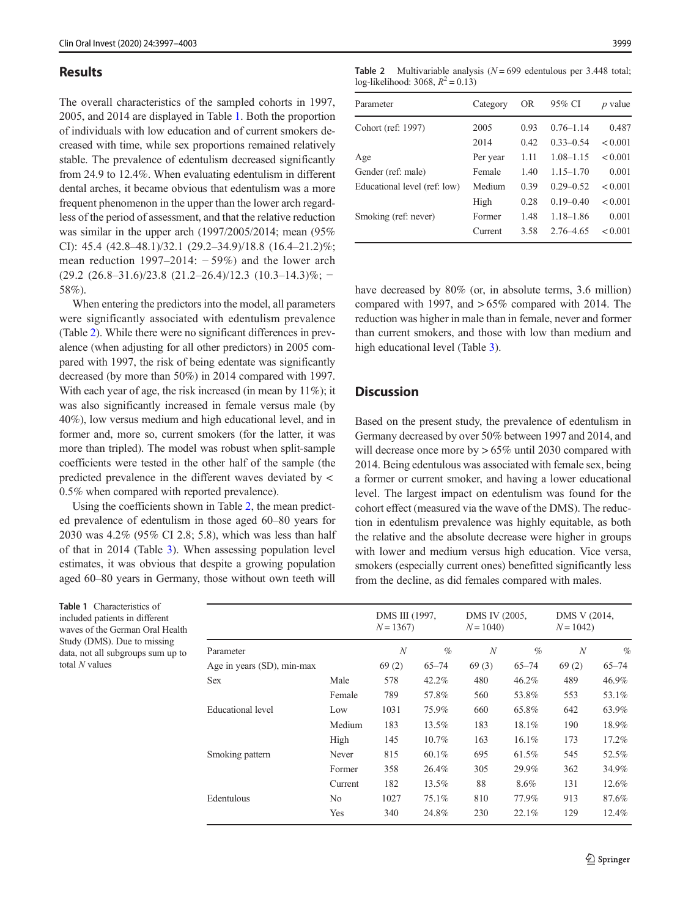## Results

The overall characteristics of the sampled cohorts in 1997, 2005, and 2014 are displayed in Table 1. Both the proportion of individuals with low education and of current smokers decreased with time, while sex proportions remained relatively stable. The prevalence of edentulism decreased significantly from 24.9 to 12.4%. When evaluating edentulism in different dental arches, it became obvious that edentulism was a more frequent phenomenon in the upper than the lower arch regardless of the period of assessment, and that the relative reduction was similar in the upper arch (1997/2005/2014; mean (95% CI): 45.4 (42.8–48.1)/32.1 (29.2–34.9)/18.8 (16.4–21.2)%; mean reduction 1997–2014: − 59%) and the lower arch (29.2 (26.8–31.6)/23.8 (21.2–26.4)/12.3 (10.3–14.3)%; − 58%).

When entering the predictors into the model, all parameters were significantly associated with edentulism prevalence (Table 2). While there were no significant differences in prevalence (when adjusting for all other predictors) in 2005 compared with 1997, the risk of being edentate was significantly decreased (by more than 50%) in 2014 compared with 1997. With each year of age, the risk increased (in mean by  $11\%$ ); it was also significantly increased in female versus male (by 40%), low versus medium and high educational level, and in former and, more so, current smokers (for the latter, it was more than tripled). The model was robust when split-sample coefficients were tested in the other half of the sample (the predicted prevalence in the different waves deviated by < 0.5% when compared with reported prevalence).

Using the coefficients shown in Table 2, the mean predicted prevalence of edentulism in those aged 60–80 years for 2030 was 4.2% (95% CI 2.8; 5.8), which was less than half of that in 2014 (Table [3\)](#page-3-0). When assessing population level estimates, it was obvious that despite a growing population aged 60–80 years in Germany, those without own teeth will

Table 1 Characteristics of included patients in different waves of the German Oral Health Study (DMS). Due to missing data, not all subgroups sum up to total N values

Table 2 Multivariable analysis  $(N = 699)$  edentulous per 3.448 total; log-likelihood: 3068,  $R^2 = 0.13$ )

| Parameter                    | Category | <b>OR</b> | 95% CI        | $p$ value |
|------------------------------|----------|-----------|---------------|-----------|
| Cohort (ref: 1997)           | 2005     | 0.93      | $0.76 - 1.14$ | 0.487     |
|                              | 2014     | 0.42      | $0.33 - 0.54$ | < 0.001   |
| Age                          | Per year | 1.11      | $1.08 - 1.15$ | < 0.001   |
| Gender (ref: male)           | Female   | 1.40      | $1.15 - 1.70$ | 0.001     |
| Educational level (ref: low) | Medium   | 0.39      | $0.29 - 0.52$ | < 0.001   |
|                              | High     | 0.28      | $0.19 - 0.40$ | < 0.001   |
| Smoking (ref: never)         | Former   | 1.48      | $1.18 - 1.86$ | 0.001     |
|                              | Current  | 3.58      | $2.76 - 4.65$ | < 0.001   |
|                              |          |           |               |           |

have decreased by 80% (or, in absolute terms, 3.6 million) compared with 1997, and  $> 65\%$  compared with 2014. The reduction was higher in male than in female, never and former than current smokers, and those with low than medium and high educational level (Table [3\)](#page-3-0).

## **Discussion**

Based on the present study, the prevalence of edentulism in Germany decreased by over 50% between 1997 and 2014, and will decrease once more by > 65% until 2030 compared with 2014. Being edentulous was associated with female sex, being a former or current smoker, and having a lower educational level. The largest impact on edentulism was found for the cohort effect (measured via the wave of the DMS). The reduction in edentulism prevalence was highly equitable, as both the relative and the absolute decrease were higher in groups with lower and medium versus high education. Vice versa, smokers (especially current ones) benefitted significantly less from the decline, as did females compared with males.

|                            |                | DMS III (1997,<br>$N = 1367$ |           | DMS IV (2005,<br>$N = 1040$ |           | DMS V (2014,<br>$N = 1042$ |           |
|----------------------------|----------------|------------------------------|-----------|-----------------------------|-----------|----------------------------|-----------|
| Parameter                  |                | $\boldsymbol{N}$             | $\%$      | N                           | $\%$      | $\boldsymbol{N}$           | $\%$      |
| Age in years (SD), min-max |                | 69(2)                        | $65 - 74$ | 69(3)                       | $65 - 74$ | 69(2)                      | $65 - 74$ |
| <b>Sex</b>                 | Male           | 578                          | 42.2%     | 480                         | 46.2%     | 489                        | 46.9%     |
|                            | Female         | 789                          | 57.8%     | 560                         | 53.8%     | 553                        | 53.1%     |
| Educational level          | Low            | 1031                         | 75.9%     | 660                         | 65.8%     | 642                        | 63.9%     |
|                            | Medium         | 183                          | 13.5%     | 183                         | 18.1%     | 190                        | 18.9%     |
|                            | High           | 145                          | 10.7%     | 163                         | $16.1\%$  | 173                        | 17.2%     |
| Smoking pattern            | Never          | 815                          | $60.1\%$  | 695                         | 61.5%     | 545                        | 52.5%     |
|                            | Former         | 358                          | 26.4%     | 305                         | 29.9%     | 362                        | 34.9%     |
|                            | Current        | 182                          | 13.5%     | 88                          | 8.6%      | 131                        | 12.6%     |
| Edentulous                 | N <sub>0</sub> | 1027                         | 75.1%     | 810                         | 77.9%     | 913                        | 87.6%     |
|                            | Yes            | 340                          | 24.8%     | 230                         | 22.1%     | 129                        | 12.4%     |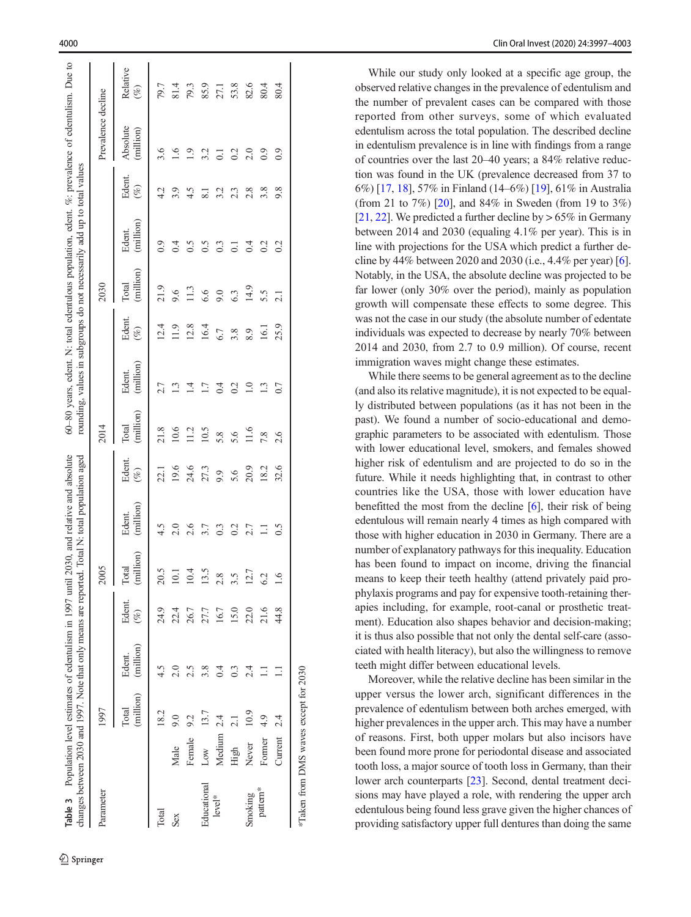<span id="page-3-0"></span>

| $\sim$ | $\sim$ | $\sim$ |
|--------|--------|--------|
|        |        |        |

|                                       |            |                    | changes between 2030 and 1997. Note that only means are reported |                  |                    | <b>Table 3</b> Population level estimates of edentulism in 1997 until 2030, and relative and absolute<br>Total N: total population aged |                  |                    |                     |                  |                    | rounding, values in subgroups do not necessarily add up to total values |                  | $60-80$ years, edent. N: total edentulous population, edent. %: prevalence of edentulism. Due to |                                      |
|---------------------------------------|------------|--------------------|------------------------------------------------------------------|------------------|--------------------|-----------------------------------------------------------------------------------------------------------------------------------------|------------------|--------------------|---------------------|------------------|--------------------|-------------------------------------------------------------------------|------------------|--------------------------------------------------------------------------------------------------|--------------------------------------|
| Parameter                             |            | 1997               |                                                                  |                  | 2005               |                                                                                                                                         |                  | 2014               |                     |                  | 2030               |                                                                         |                  | Prevalence decline                                                                               |                                      |
|                                       |            | (million)<br>Total | (million)<br>Edent.                                              | Edent.<br>$(\%)$ | (million)<br>Total | (million)<br>Edent.                                                                                                                     | Edent.<br>$(\%)$ | (million)<br>Total | (million)<br>Edent. | Edent.<br>$(\%)$ | (million)<br>Total | (million)<br>Edent.                                                     | Edent.<br>$(\%)$ | Absolute<br>(million)                                                                            | Relative<br>$(\%)$                   |
| Total                                 |            | 18.2               |                                                                  | 24.9             | 20.5               | 4.5                                                                                                                                     | 22.1             | 21.8               | 2.7                 | 12.4             | 21.9               | 0.9                                                                     | 4.2              | 3.6                                                                                              | 79.7                                 |
| Sex                                   | Male       | 9.0                | 2.0                                                              | 22.4             | 10.1               | 2.0                                                                                                                                     | 19.6             | 10.6               | 1.3                 | 11.9             | 9.6                | 0.4                                                                     | 3.9              | 1.6                                                                                              |                                      |
|                                       | Female     | 9.2                |                                                                  | 26.7             | 10.4               | 2.6                                                                                                                                     | 24.6             | 11.2               | 1.4                 | 12.8             | $11.3\,$           | 6.5                                                                     | 4.5              | 1.9                                                                                              | 81.4<br>79.3<br>85.9<br>27.1<br>82.6 |
| Educational                           | Low        | 13.7               |                                                                  | 27.7             | 13.5               | 3.7                                                                                                                                     | 27.3             | 10.5               | 1.7                 | 16.4             | 6.6                | 0.5                                                                     | 8.1              | 3.2                                                                                              |                                      |
| $level*$                              | Medium 2.4 |                    | 0.4                                                              | 16.7             | 2.8                | $\degree$                                                                                                                               | 9.9              | 5.8                | 0.4                 | 6.7              | 9.0                | 0.3                                                                     | 3.2              | $\overline{C}$                                                                                   |                                      |
|                                       | High       |                    | $\overline{0}$                                                   | 15.0             | 3.5                | 0.2                                                                                                                                     | 5.6              | 5.6                | 0.2                 | 3.8              | 6.3                | $\overline{0}$ .                                                        | 2.3              | $\overline{0.2}$                                                                                 |                                      |
| Smoking                               | Never      | 10.9               | 2.4                                                              | 22.0             | 12.7               | 2.7                                                                                                                                     | 20.9             | 11.6               | 1.0                 | 8.9              | 14.9               | 0.4                                                                     | 2.8              | 2.0                                                                                              |                                      |
| pattern*                              | Former     | 4.9                |                                                                  | 21.6             | 6.2                | $\Box$                                                                                                                                  | 18.2             | 7.8                | $\frac{1}{3}$       | 16.1             | 5.5                | 0.2                                                                     | 3.8              | $_{0.9}$                                                                                         | 80.4                                 |
|                                       | Current    | 2.4                |                                                                  | 44.8             | $\frac{6}{1}$      | 0.5                                                                                                                                     | 32.6             | 2.6                | 0.7                 | 25.9             | 2.1                | 0.2                                                                     | 9.8              | 0.9                                                                                              | 80.4                                 |
| *Taken from DMS waves except for 2030 |            |                    |                                                                  |                  |                    |                                                                                                                                         |                  |                    |                     |                  |                    |                                                                         |                  |                                                                                                  |                                      |

While our study only looked at a specific age group, the observed relative changes in the prevalence of edentulism and the number of prevalent cases can be compared with those reported from other surveys, some of which evaluated edentulism across the total population. The described decline in edentulism prevalence is in line with findings from a range of countries over the last 20 –40 years; a 84% relative reduction was found in the UK (prevalence decreased from 37 to 6%) [[17](#page-5-0) , [18](#page-5-0)], 57% in Finland (14 –6%) [\[19](#page-5-0)], 61% in Australia (from 21 to 7%) [\[20](#page-5-0)], and 84% in Sweden (from 19 to 3%) [\[21](#page-5-0), [22](#page-6-0)]. We predicted a further decline by  $> 65\%$  in Germany between 2014 and 2030 (equaling 4.1% per year). This is in line with projections for the USA which predict a further decline by 44% between 2020 and 2030 (i.e., 4.4% per year) [[6\]](#page-5-0). Notably, in the USA, the absolute decline was projected to be far lower (only 30% over the period), mainly as population growth will compensate these effects to some degree. This was not the case in our study (the absolute number of edentate individuals was expected to decrease by nearly 70% between 2014 and 2030, from 2.7 to 0.9 million). Of course, recent immigration waves might change these estimates.

While there seems to be general agreement as to the decline (and also its relative magnitude), it is not expected to be equally distributed between populations (as it has not been in the past). We found a number of socio-educational and demographic parameters to be associated with edentulism. Those with lower educational level, smokers, and females showed higher risk of edentulism and are projected to do so in the future. While it needs highlighting that, in contrast to other countries like the USA, those with lower education have benefitted the most from the decline [ [6\]](#page-5-0), their risk of being edentulous will remain nearly 4 times as high compared with those with higher education in 2030 in Germany. There are a number of explanatory pathways for this inequality. Education has been found to impact on income, driving the financial means to keep their teeth healthy (attend privately paid prophylaxis programs and pay for expensive tooth-retaining therapies including, for example, root-canal or prosthetic treatment). Education also shapes behavior and decision-making; it is thus also possible that not only the dental self-care (associated with health literacy), but also the willingness to remove teeth might differ between educational levels.

Moreover, while the relative decline has been similar in the upper versus the lower arch, significant differences in the prevalence of edentulism between both arches emerged, with higher prevalences in the upper arch. This may have a number of reasons. First, both upper molars but also incisors have been found more prone for periodontal disease and associated tooth loss, a major source of tooth loss in Germany, than their lower arch counterparts [\[23](#page-6-0)]. Second, dental treatment decisions may have played a role, with rendering the upper arch edentulous being found less grave given the higher chances of providing satisfactory upper full dentures than doing the same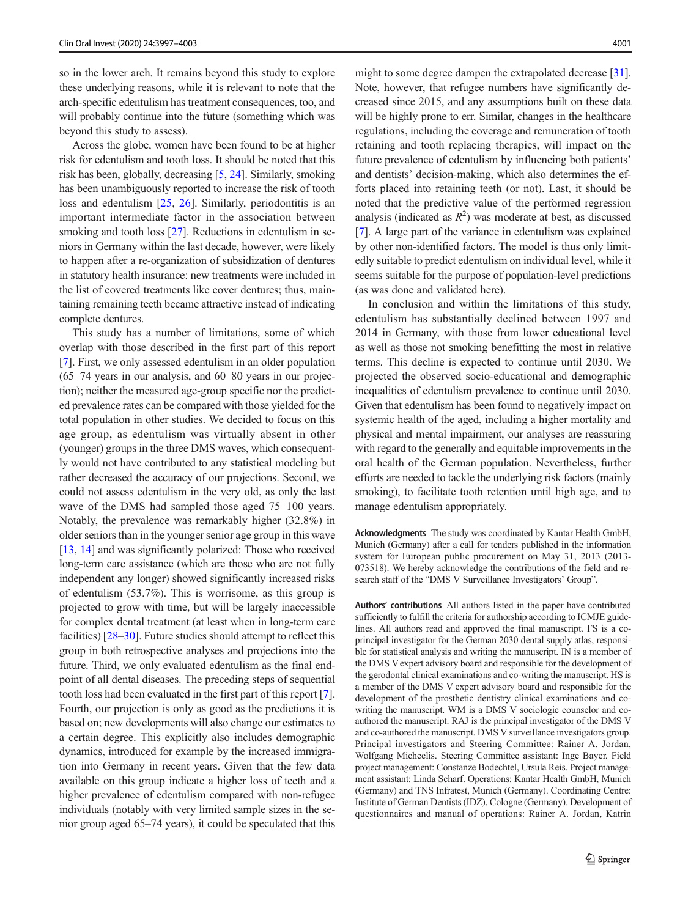so in the lower arch. It remains beyond this study to explore these underlying reasons, while it is relevant to note that the arch-specific edentulism has treatment consequences, too, and will probably continue into the future (something which was beyond this study to assess).

Across the globe, women have been found to be at higher risk for edentulism and tooth loss. It should be noted that this risk has been, globally, decreasing [\[5](#page-5-0), [24\]](#page-6-0). Similarly, smoking has been unambiguously reported to increase the risk of tooth loss and edentulism [\[25](#page-6-0), [26\]](#page-6-0). Similarly, periodontitis is an important intermediate factor in the association between smoking and tooth loss [[27](#page-6-0)]. Reductions in edentulism in seniors in Germany within the last decade, however, were likely to happen after a re-organization of subsidization of dentures in statutory health insurance: new treatments were included in the list of covered treatments like cover dentures; thus, maintaining remaining teeth became attractive instead of indicating complete dentures.

This study has a number of limitations, some of which overlap with those described in the first part of this report [\[7](#page-5-0)]. First, we only assessed edentulism in an older population (65–74 years in our analysis, and 60–80 years in our projection); neither the measured age-group specific nor the predicted prevalence rates can be compared with those yielded for the total population in other studies. We decided to focus on this age group, as edentulism was virtually absent in other (younger) groups in the three DMS waves, which consequently would not have contributed to any statistical modeling but rather decreased the accuracy of our projections. Second, we could not assess edentulism in the very old, as only the last wave of the DMS had sampled those aged 75–100 years. Notably, the prevalence was remarkably higher (32.8%) in older seniors than in the younger senior age group in this wave [\[13,](#page-5-0) [14\]](#page-5-0) and was significantly polarized: Those who received long-term care assistance (which are those who are not fully independent any longer) showed significantly increased risks of edentulism (53.7%). This is worrisome, as this group is projected to grow with time, but will be largely inaccessible for complex dental treatment (at least when in long-term care facilities) [\[28](#page-6-0)–[30\]](#page-6-0). Future studies should attempt to reflect this group in both retrospective analyses and projections into the future. Third, we only evaluated edentulism as the final endpoint of all dental diseases. The preceding steps of sequential tooth loss had been evaluated in the first part of this report [[7\]](#page-5-0). Fourth, our projection is only as good as the predictions it is based on; new developments will also change our estimates to a certain degree. This explicitly also includes demographic dynamics, introduced for example by the increased immigration into Germany in recent years. Given that the few data available on this group indicate a higher loss of teeth and a higher prevalence of edentulism compared with non-refugee individuals (notably with very limited sample sizes in the senior group aged 65–74 years), it could be speculated that this

might to some degree dampen the extrapolated decrease [[31\]](#page-6-0). Note, however, that refugee numbers have significantly decreased since 2015, and any assumptions built on these data will be highly prone to err. Similar, changes in the healthcare regulations, including the coverage and remuneration of tooth retaining and tooth replacing therapies, will impact on the future prevalence of edentulism by influencing both patients' and dentists' decision-making, which also determines the efforts placed into retaining teeth (or not). Last, it should be noted that the predictive value of the performed regression analysis (indicated as  $R^2$ ) was moderate at best, as discussed [\[7](#page-5-0)]. A large part of the variance in edentulism was explained by other non-identified factors. The model is thus only limitedly suitable to predict edentulism on individual level, while it seems suitable for the purpose of population-level predictions (as was done and validated here).

In conclusion and within the limitations of this study, edentulism has substantially declined between 1997 and 2014 in Germany, with those from lower educational level as well as those not smoking benefitting the most in relative terms. This decline is expected to continue until 2030. We projected the observed socio-educational and demographic inequalities of edentulism prevalence to continue until 2030. Given that edentulism has been found to negatively impact on systemic health of the aged, including a higher mortality and physical and mental impairment, our analyses are reassuring with regard to the generally and equitable improvements in the oral health of the German population. Nevertheless, further efforts are needed to tackle the underlying risk factors (mainly smoking), to facilitate tooth retention until high age, and to manage edentulism appropriately.

Acknowledgments The study was coordinated by Kantar Health GmbH, Munich (Germany) after a call for tenders published in the information system for European public procurement on May 31, 2013 (2013- 073518). We hereby acknowledge the contributions of the field and research staff of the "DMS V Surveillance Investigators' Group".

Authors' contributions All authors listed in the paper have contributed sufficiently to fulfill the criteria for authorship according to ICMJE guidelines. All authors read and approved the final manuscript. FS is a coprincipal investigator for the German 2030 dental supply atlas, responsible for statistical analysis and writing the manuscript. IN is a member of the DMS Vexpert advisory board and responsible for the development of the gerodontal clinical examinations and co-writing the manuscript. HS is a member of the DMS V expert advisory board and responsible for the development of the prosthetic dentistry clinical examinations and cowriting the manuscript. WM is a DMS V sociologic counselor and coauthored the manuscript. RAJ is the principal investigator of the DMS V and co-authored the manuscript. DMS V surveillance investigators group. Principal investigators and Steering Committee: Rainer A. Jordan, Wolfgang Micheelis. Steering Committee assistant: Inge Bayer. Field project management: Constanze Bodechtel, Ursula Reis. Project management assistant: Linda Scharf. Operations: Kantar Health GmbH, Munich (Germany) and TNS Infratest, Munich (Germany). Coordinating Centre: Institute of German Dentists (IDZ), Cologne (Germany). Development of questionnaires and manual of operations: Rainer A. Jordan, Katrin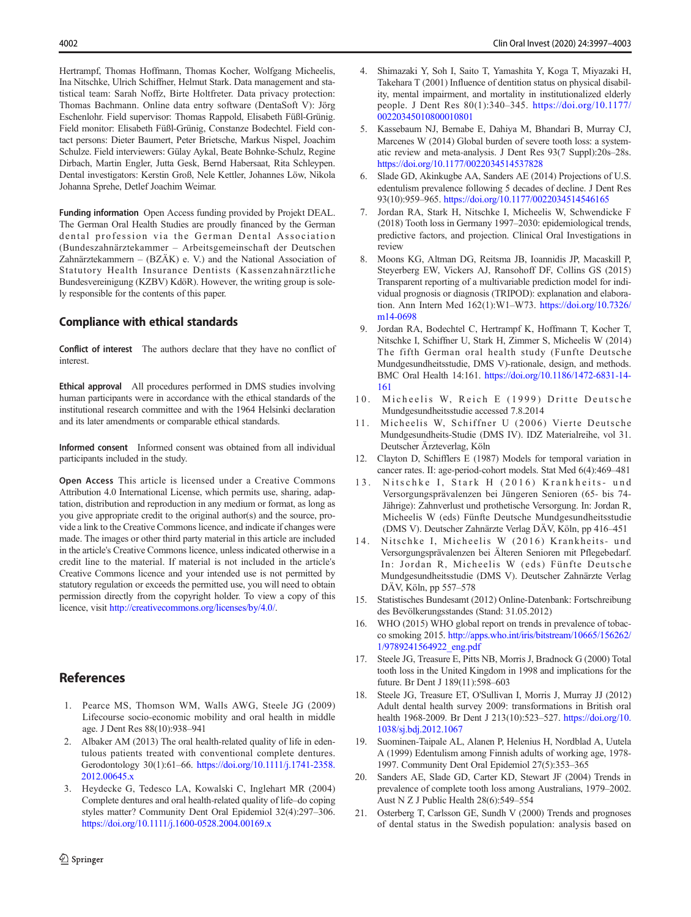<span id="page-5-0"></span>Hertrampf, Thomas Hoffmann, Thomas Kocher, Wolfgang Micheelis, Ina Nitschke, Ulrich Schiffner, Helmut Stark. Data management and statistical team: Sarah Noffz, Birte Holtfreter. Data privacy protection: Thomas Bachmann. Online data entry software (DentaSoft V): Jörg Eschenlohr. Field supervisor: Thomas Rappold, Elisabeth Füßl-Grünig. Field monitor: Elisabeth Füßl-Grünig, Constanze Bodechtel. Field contact persons: Dieter Baumert, Peter Brietsche, Markus Nispel, Joachim Schulze. Field interviewers: Gülay Aykal, Beate Bohnke-Schulz, Regine Dirbach, Martin Engler, Jutta Gesk, Bernd Habersaat, Rita Schleypen. Dental investigators: Kerstin Groß, Nele Kettler, Johannes Löw, Nikola Johanna Sprehe, Detlef Joachim Weimar.

Funding information Open Access funding provided by Projekt DEAL. The German Oral Health Studies are proudly financed by the German dental profession via the German Dental Association (Bundeszahnärztekammer – Arbeitsgemeinschaft der Deutschen Zahnärztekammern – (BZÄK) e. V.) and the National Association of Statutory Health Insurance Dentists (Kassenzahnärztliche Bundesvereinigung (KZBV) KdöR). However, the writing group is solely responsible for the contents of this paper.

#### Compliance with ethical standards

Conflict of interest The authors declare that they have no conflict of interest.

Ethical approval All procedures performed in DMS studies involving human participants were in accordance with the ethical standards of the institutional research committee and with the 1964 Helsinki declaration and its later amendments or comparable ethical standards.

Informed consent Informed consent was obtained from all individual participants included in the study.

Open Access This article is licensed under a Creative Commons Attribution 4.0 International License, which permits use, sharing, adaptation, distribution and reproduction in any medium or format, as long as you give appropriate credit to the original author(s) and the source, provide a link to the Creative Commons licence, and indicate if changes were made. The images or other third party material in this article are included in the article's Creative Commons licence, unless indicated otherwise in a credit line to the material. If material is not included in the article's Creative Commons licence and your intended use is not permitted by statutory regulation or exceeds the permitted use, you will need to obtain permission directly from the copyright holder. To view a copy of this licence, visit <http://creativecommons.org/licenses/by/4.0/>.

#### References

- 1. Pearce MS, Thomson WM, Walls AWG, Steele JG (2009) Lifecourse socio-economic mobility and oral health in middle age. J Dent Res 88(10):938–941
- 2. Albaker AM (2013) The oral health-related quality of life in edentulous patients treated with conventional complete dentures. Gerodontology 30(1):61–66. [https://doi.org/10.1111/j.1741-2358.](https://doi.org/10.1111/j.1741-2358.2012.00645.x) [2012.00645.x](https://doi.org/10.1111/j.1741-2358.2012.00645.x)
- 3. Heydecke G, Tedesco LA, Kowalski C, Inglehart MR (2004) Complete dentures and oral health-related quality of life–do coping styles matter? Community Dent Oral Epidemiol 32(4):297–306. <https://doi.org/10.1111/j.1600-0528.2004.00169.x>
- 4. Shimazaki Y, Soh I, Saito T, Yamashita Y, Koga T, Miyazaki H, Takehara T (2001) Influence of dentition status on physical disability, mental impairment, and mortality in institutionalized elderly people. J Dent Res 80(1):340–345. [https://doi.org/10.1177/](https://doi.org/10.1177/00220345010800010801) [00220345010800010801](https://doi.org/10.1177/00220345010800010801)
- 5. Kassebaum NJ, Bernabe E, Dahiya M, Bhandari B, Murray CJ, Marcenes W (2014) Global burden of severe tooth loss: a systematic review and meta-analysis. J Dent Res 93(7 Suppl):20s–28s. <https://doi.org/10.1177/0022034514537828>
- 6. Slade GD, Akinkugbe AA, Sanders AE (2014) Projections of U.S. edentulism prevalence following 5 decades of decline. J Dent Res 93(10):959–965. <https://doi.org/10.1177/0022034514546165>
- 7. Jordan RA, Stark H, Nitschke I, Micheelis W, Schwendicke F (2018) Tooth loss in Germany 1997–2030: epidemiological trends, predictive factors, and projection. Clinical Oral Investigations in review
- 8. Moons KG, Altman DG, Reitsma JB, Ioannidis JP, Macaskill P, Steyerberg EW, Vickers AJ, Ransohoff DF, Collins GS (2015) Transparent reporting of a multivariable prediction model for individual prognosis or diagnosis (TRIPOD): explanation and elaboration. Ann Intern Med 162(1):W1–W73. [https://doi.org/10.7326/](https://doi.org/10.7326/m14-0698) [m14-0698](https://doi.org/10.7326/m14-0698)
- 9. Jordan RA, Bodechtel C, Hertrampf K, Hoffmann T, Kocher T, Nitschke I, Schiffner U, Stark H, Zimmer S, Micheelis W (2014) The fifth German oral health study (Funfte Deutsche Mundgesundheitsstudie, DMS V)-rationale, design, and methods. BMC Oral Health 14:161. [https://doi.org/10.1186/1472-6831-14-](https://doi.org/10.1186/1472-6831-14-161) [161](https://doi.org/10.1186/1472-6831-14-161)
- 10. Micheelis W, Reich E (1999) Dritte Deutsche Mundgesundheitsstudie accessed 7.8.2014
- 11. Micheelis W, Schiffner U (2006) Vierte Deutsche Mundgesundheits-Studie (DMS IV). IDZ Materialreihe, vol 31. Deutscher Ärzteverlag, Köln
- 12. Clayton D, Schifflers E (1987) Models for temporal variation in cancer rates. II: age-period-cohort models. Stat Med 6(4):469–481
- 13. Nitschke I, Stark H (2016) Krankheits- und Versorgungsprävalenzen bei Jüngeren Senioren (65- bis 74- Jährige): Zahnverlust und prothetische Versorgung. In: Jordan R, Micheelis W (eds) Fünfte Deutsche Mundgesundheitsstudie (DMS V). Deutscher Zahnärzte Verlag DÄV, Köln, pp 416–451
- 14. Nitschke I, Micheelis W (2016) Krankheits- und Versorgungsprävalenzen bei Älteren Senioren mit Pflegebedarf. In: Jordan R, Micheelis W (eds) Fünfte Deutsche Mundgesundheitsstudie (DMS V). Deutscher Zahnärzte Verlag DÄV, Köln, pp 557–578
- 15. Statistisches Bundesamt (2012) Online-Datenbank: Fortschreibung des Bevölkerungsstandes (Stand: 31.05.2012)
- 16. WHO (2015) WHO global report on trends in prevalence of tobacco smoking 2015. [http://apps.who.int/iris/bitstream/10665/156262/](http://apps.who.int/iris/bitstream/10665/156262/1/9789241564922_eng.pdf) [1/9789241564922\\_eng.pdf](http://apps.who.int/iris/bitstream/10665/156262/1/9789241564922_eng.pdf)
- 17. Steele JG, Treasure E, Pitts NB, Morris J, Bradnock G (2000) Total tooth loss in the United Kingdom in 1998 and implications for the future. Br Dent J 189(11):598–603
- 18. Steele JG, Treasure ET, O'Sullivan I, Morris J, Murray JJ (2012) Adult dental health survey 2009: transformations in British oral health 1968-2009. Br Dent J 213(10):523–527. [https://doi.org/10.](http://creativecommons.org/licenses/by/4.0/) [1038/sj.bdj.2012.1067](http://creativecommons.org/licenses/by/4.0/)
- 19. Suominen-Taipale AL, Alanen P, Helenius H, Nordblad A, Uutela A (1999) Edentulism among Finnish adults of working age, 1978- 1997. Community Dent Oral Epidemiol 27(5):353–365
- 20. Sanders AE, Slade GD, Carter KD, Stewart JF (2004) Trends in prevalence of complete tooth loss among Australians, 1979–2002. Aust N Z J Public Health 28(6):549–554
- 21. Osterberg T, Carlsson GE, Sundh V (2000) Trends and prognoses of dental status in the Swedish population: analysis based on